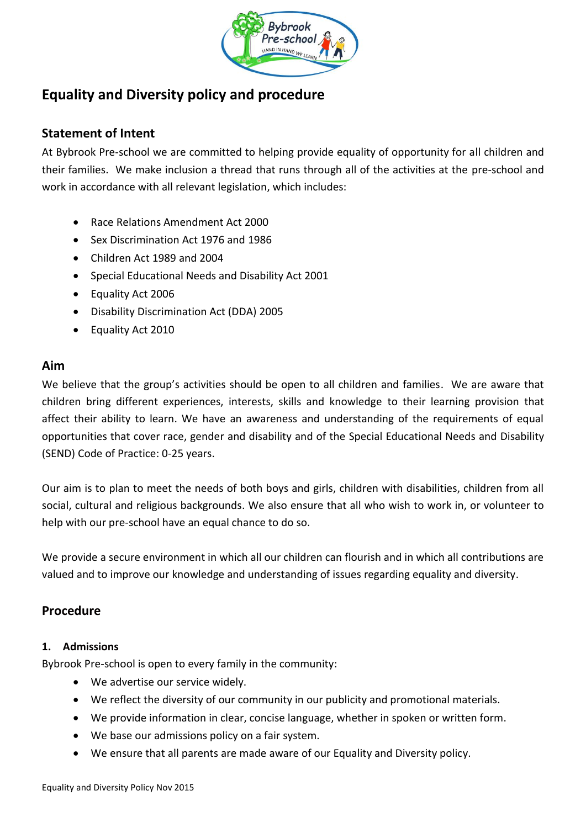

# **Equality and Diversity policy and procedure**

## **Statement of Intent**

At Bybrook Pre-school we are committed to helping provide equality of opportunity for all children and their families. We make inclusion a thread that runs through all of the activities at the pre-school and work in accordance with all relevant legislation, which includes:

- Race Relations Amendment Act 2000
- Sex Discrimination Act 1976 and 1986
- Children Act 1989 and 2004
- Special Educational Needs and Disability Act 2001
- Equality Act 2006
- Disability Discrimination Act (DDA) 2005
- Equality Act 2010

## **Aim**

We believe that the group's activities should be open to all children and families. We are aware that children bring different experiences, interests, skills and knowledge to their learning provision that affect their ability to learn. We have an awareness and understanding of the requirements of equal opportunities that cover race, gender and disability and of the Special Educational Needs and Disability (SEND) Code of Practice: 0-25 years.

Our aim is to plan to meet the needs of both boys and girls, children with disabilities, children from all social, cultural and religious backgrounds. We also ensure that all who wish to work in, or volunteer to help with our pre-school have an equal chance to do so.

We provide a secure environment in which all our children can flourish and in which all contributions are valued and to improve our knowledge and understanding of issues regarding equality and diversity.

## **Procedure**

## **1. Admissions**

Bybrook Pre-school is open to every family in the community:

- We advertise our service widely.
- We reflect the diversity of our community in our publicity and promotional materials.
- We provide information in clear, concise language, whether in spoken or written form.
- We base our admissions policy on a fair system.
- We ensure that all parents are made aware of our Equality and Diversity policy.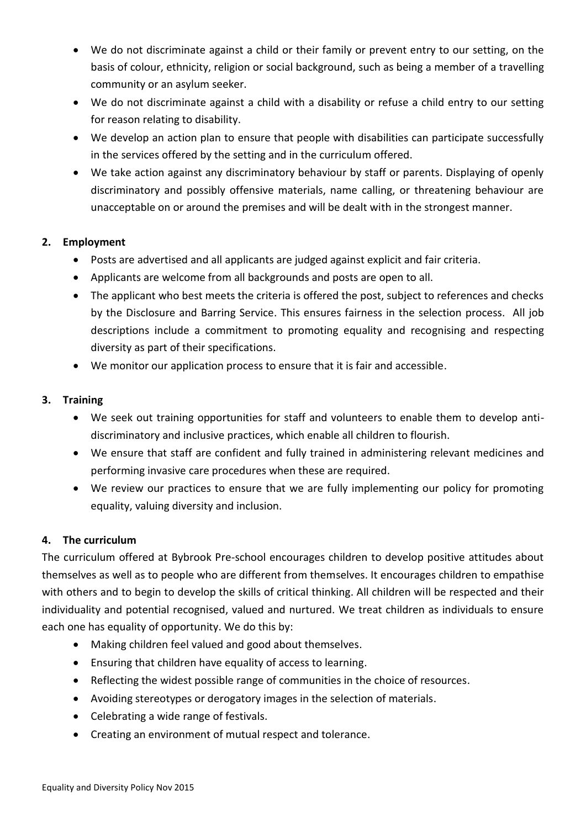- We do not discriminate against a child or their family or prevent entry to our setting, on the basis of colour, ethnicity, religion or social background, such as being a member of a travelling community or an asylum seeker.
- We do not discriminate against a child with a disability or refuse a child entry to our setting for reason relating to disability.
- We develop an action plan to ensure that people with disabilities can participate successfully in the services offered by the setting and in the curriculum offered.
- We take action against any discriminatory behaviour by staff or parents. Displaying of openly discriminatory and possibly offensive materials, name calling, or threatening behaviour are unacceptable on or around the premises and will be dealt with in the strongest manner.

## **2. Employment**

- Posts are advertised and all applicants are judged against explicit and fair criteria.
- Applicants are welcome from all backgrounds and posts are open to all.
- The applicant who best meets the criteria is offered the post, subject to references and checks by the Disclosure and Barring Service. This ensures fairness in the selection process. All job descriptions include a commitment to promoting equality and recognising and respecting diversity as part of their specifications.
- We monitor our application process to ensure that it is fair and accessible.

## **3. Training**

- We seek out training opportunities for staff and volunteers to enable them to develop antidiscriminatory and inclusive practices, which enable all children to flourish.
- We ensure that staff are confident and fully trained in administering relevant medicines and performing invasive care procedures when these are required.
- We review our practices to ensure that we are fully implementing our policy for promoting equality, valuing diversity and inclusion.

## **4. The curriculum**

The curriculum offered at Bybrook Pre-school encourages children to develop positive attitudes about themselves as well as to people who are different from themselves. It encourages children to empathise with others and to begin to develop the skills of critical thinking. All children will be respected and their individuality and potential recognised, valued and nurtured. We treat children as individuals to ensure each one has equality of opportunity. We do this by:

- Making children feel valued and good about themselves.
- Ensuring that children have equality of access to learning.
- Reflecting the widest possible range of communities in the choice of resources.
- Avoiding stereotypes or derogatory images in the selection of materials.
- Celebrating a wide range of festivals.
- Creating an environment of mutual respect and tolerance.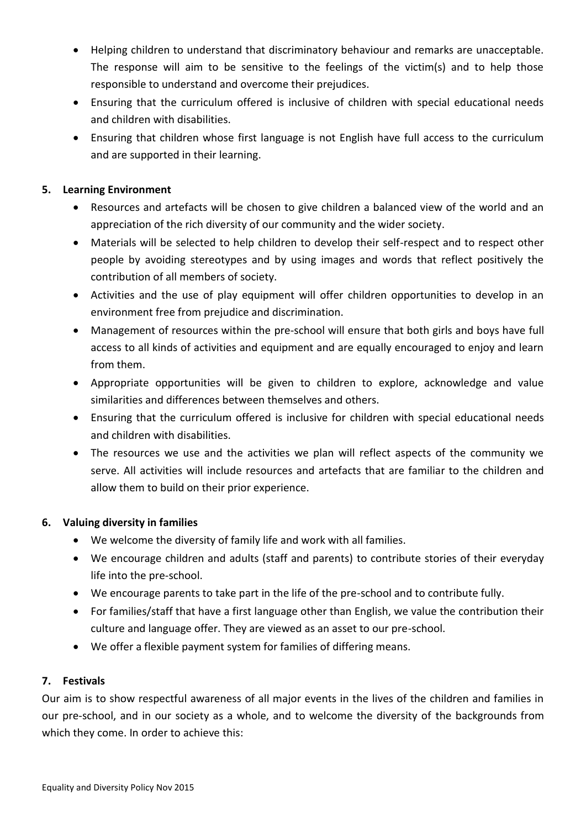- Helping children to understand that discriminatory behaviour and remarks are unacceptable. The response will aim to be sensitive to the feelings of the victim(s) and to help those responsible to understand and overcome their prejudices.
- Ensuring that the curriculum offered is inclusive of children with special educational needs and children with disabilities.
- Ensuring that children whose first language is not English have full access to the curriculum and are supported in their learning.

## **5. Learning Environment**

- Resources and artefacts will be chosen to give children a balanced view of the world and an appreciation of the rich diversity of our community and the wider society.
- Materials will be selected to help children to develop their self-respect and to respect other people by avoiding stereotypes and by using images and words that reflect positively the contribution of all members of society.
- Activities and the use of play equipment will offer children opportunities to develop in an environment free from prejudice and discrimination.
- Management of resources within the pre-school will ensure that both girls and boys have full access to all kinds of activities and equipment and are equally encouraged to enjoy and learn from them.
- Appropriate opportunities will be given to children to explore, acknowledge and value similarities and differences between themselves and others.
- Ensuring that the curriculum offered is inclusive for children with special educational needs and children with disabilities.
- The resources we use and the activities we plan will reflect aspects of the community we serve. All activities will include resources and artefacts that are familiar to the children and allow them to build on their prior experience.

## **6. Valuing diversity in families**

- We welcome the diversity of family life and work with all families.
- We encourage children and adults (staff and parents) to contribute stories of their everyday life into the pre-school.
- We encourage parents to take part in the life of the pre-school and to contribute fully.
- For families/staff that have a first language other than English, we value the contribution their culture and language offer. They are viewed as an asset to our pre-school.
- We offer a flexible payment system for families of differing means.

#### **7. Festivals**

Our aim is to show respectful awareness of all major events in the lives of the children and families in our pre-school, and in our society as a whole, and to welcome the diversity of the backgrounds from which they come. In order to achieve this: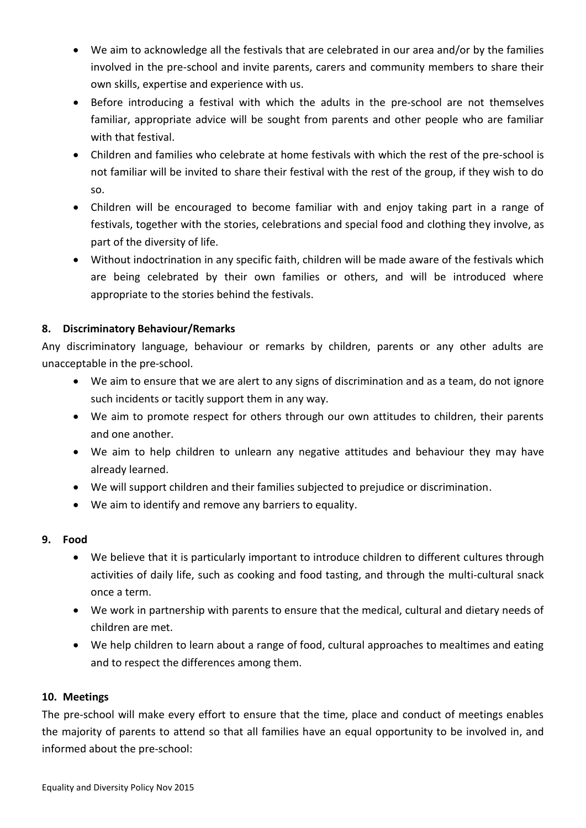- We aim to acknowledge all the festivals that are celebrated in our area and/or by the families involved in the pre-school and invite parents, carers and community members to share their own skills, expertise and experience with us.
- Before introducing a festival with which the adults in the pre-school are not themselves familiar, appropriate advice will be sought from parents and other people who are familiar with that festival.
- Children and families who celebrate at home festivals with which the rest of the pre-school is not familiar will be invited to share their festival with the rest of the group, if they wish to do so.
- Children will be encouraged to become familiar with and enjoy taking part in a range of festivals, together with the stories, celebrations and special food and clothing they involve, as part of the diversity of life.
- Without indoctrination in any specific faith, children will be made aware of the festivals which are being celebrated by their own families or others, and will be introduced where appropriate to the stories behind the festivals.

## **8. Discriminatory Behaviour/Remarks**

Any discriminatory language, behaviour or remarks by children, parents or any other adults are unacceptable in the pre-school.

- We aim to ensure that we are alert to any signs of discrimination and as a team, do not ignore such incidents or tacitly support them in any way.
- We aim to promote respect for others through our own attitudes to children, their parents and one another.
- We aim to help children to unlearn any negative attitudes and behaviour they may have already learned.
- We will support children and their families subjected to prejudice or discrimination.
- We aim to identify and remove any barriers to equality.

## **9. Food**

- We believe that it is particularly important to introduce children to different cultures through activities of daily life, such as cooking and food tasting, and through the multi-cultural snack once a term.
- We work in partnership with parents to ensure that the medical, cultural and dietary needs of children are met.
- We help children to learn about a range of food, cultural approaches to mealtimes and eating and to respect the differences among them.

## **10. Meetings**

The pre-school will make every effort to ensure that the time, place and conduct of meetings enables the majority of parents to attend so that all families have an equal opportunity to be involved in, and informed about the pre-school: